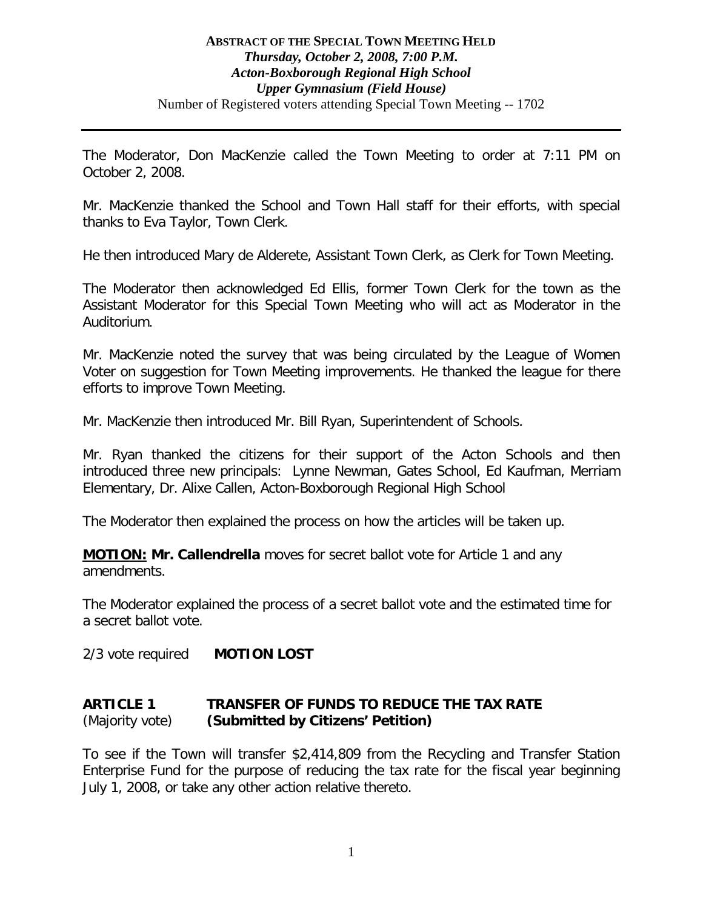#### **ABSTRACT OF THE SPECIAL TOWN MEETING HELD** *Thursday, October 2, 2008, 7:00 P.M. Acton-Boxborough Regional High School Upper Gymnasium (Field House)* Number of Registered voters attending Special Town Meeting -- 1702

The Moderator, Don MacKenzie called the Town Meeting to order at 7:11 PM on October 2, 2008.

Mr. MacKenzie thanked the School and Town Hall staff for their efforts, with special thanks to Eva Taylor, Town Clerk.

He then introduced Mary de Alderete, Assistant Town Clerk, as Clerk for Town Meeting.

The Moderator then acknowledged Ed Ellis, former Town Clerk for the town as the Assistant Moderator for this Special Town Meeting who will act as Moderator in the Auditorium.

Mr. MacKenzie noted the survey that was being circulated by the League of Women Voter on suggestion for Town Meeting improvements. He thanked the league for there efforts to improve Town Meeting.

Mr. MacKenzie then introduced Mr. Bill Ryan, Superintendent of Schools.

Mr. Ryan thanked the citizens for their support of the Acton Schools and then introduced three new principals: Lynne Newman, Gates School, Ed Kaufman, Merriam Elementary, Dr. Alixe Callen, Acton-Boxborough Regional High School

The Moderator then explained the process on how the articles will be taken up.

**MOTION: Mr. Callendrella** moves for secret ballot vote for Article 1 and any amendments.

The Moderator explained the process of a secret ballot vote and the estimated time for a secret ballot vote.

2/3 vote required **MOTION LOST**

# **ARTICLE 1 TRANSFER OF FUNDS TO REDUCE THE TAX RATE** (Majority vote) **(Submitted by Citizens' Petition)**

To see if the Town will transfer \$2,414,809 from the Recycling and Transfer Station Enterprise Fund for the purpose of reducing the tax rate for the fiscal year beginning July 1, 2008, or take any other action relative thereto.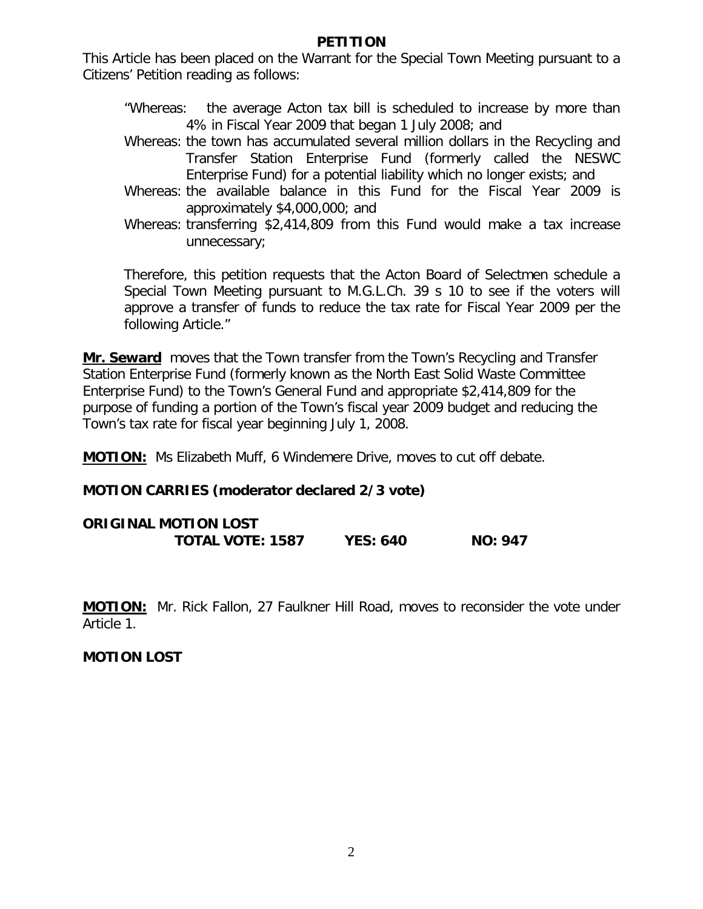#### **PETITION**

This Article has been placed on the Warrant for the Special Town Meeting pursuant to a Citizens' Petition reading as follows:

- "Whereas: the average Acton tax bill is scheduled to increase by more than 4% in Fiscal Year 2009 that began 1 July 2008; and
- Whereas: the town has accumulated several million dollars in the Recycling and Transfer Station Enterprise Fund (formerly called the NESWC Enterprise Fund) for a potential liability which no longer exists; and
- Whereas: the available balance in this Fund for the Fiscal Year 2009 is approximately \$4,000,000; and
- Whereas: transferring \$2,414,809 from this Fund would make a tax increase unnecessary;

Therefore, this petition requests that the Acton Board of Selectmen schedule a Special Town Meeting pursuant to M.G.L.Ch. 39 s 10 to see if the voters will approve a transfer of funds to reduce the tax rate for Fiscal Year 2009 per the following Article."

**Mr. Seward** moves that the Town transfer from the Town's Recycling and Transfer Station Enterprise Fund (formerly known as the North East Solid Waste Committee Enterprise Fund) to the Town's General Fund and appropriate \$2,414,809 for the purpose of funding a portion of the Town's fiscal year 2009 budget and reducing the Town's tax rate for fiscal year beginning July 1, 2008.

**MOTION:** Ms Elizabeth Muff, 6 Windemere Drive, moves to cut off debate.

# **MOTION CARRIES (moderator declared 2/3 vote)**

| <b>ORIGINAL MOTION LOST</b> |                 |                |
|-----------------------------|-----------------|----------------|
| <b>TOTAL VOTE: 1587</b>     | <b>YES: 640</b> | <b>NO: 947</b> |

**MOTION:** Mr. Rick Fallon, 27 Faulkner Hill Road, moves to reconsider the vote under Article 1.

#### **MOTION LOST**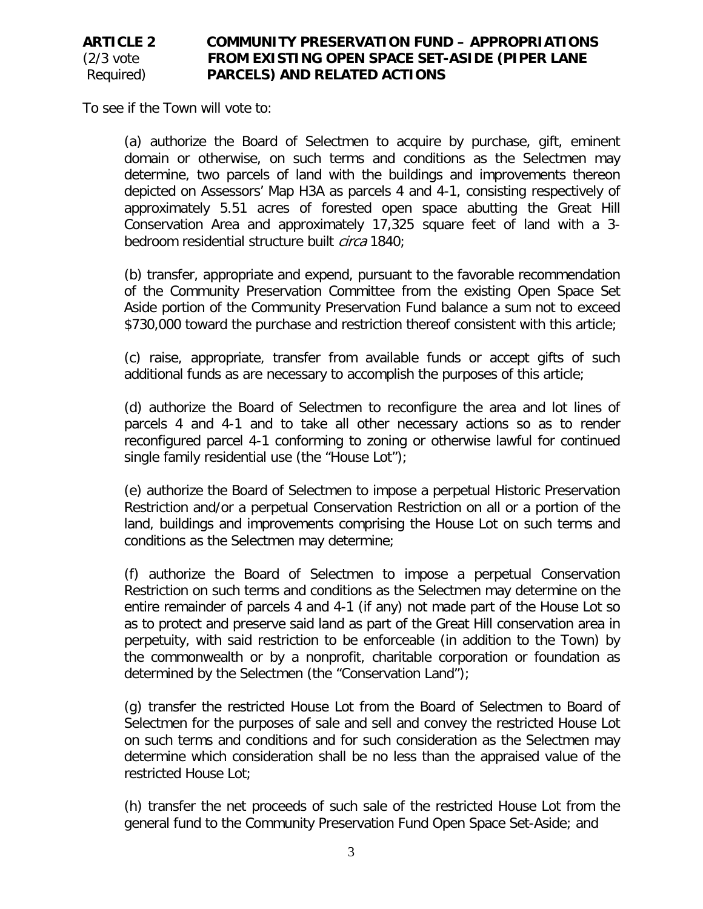# **ARTICLE 2 COMMUNITY PRESERVATION FUND – APPROPRIATIONS** (2/3 vote **FROM EXISTING OPEN SPACE SET-ASIDE (PIPER LANE**  Required) **PARCELS) AND RELATED ACTIONS**

To see if the Town will vote to:

(a) authorize the Board of Selectmen to acquire by purchase, gift, eminent domain or otherwise, on such terms and conditions as the Selectmen may determine, two parcels of land with the buildings and improvements thereon depicted on Assessors' Map H3A as parcels 4 and 4-1, consisting respectively of approximately 5.51 acres of forested open space abutting the Great Hill Conservation Area and approximately 17,325 square feet of land with a 3 bedroom residential structure built *circa* 1840;

(b) transfer, appropriate and expend, pursuant to the favorable recommendation of the Community Preservation Committee from the existing Open Space Set Aside portion of the Community Preservation Fund balance a sum not to exceed \$730,000 toward the purchase and restriction thereof consistent with this article;

(c) raise, appropriate, transfer from available funds or accept gifts of such additional funds as are necessary to accomplish the purposes of this article;

(d) authorize the Board of Selectmen to reconfigure the area and lot lines of parcels 4 and 4-1 and to take all other necessary actions so as to render reconfigured parcel 4-1 conforming to zoning or otherwise lawful for continued single family residential use (the "House Lot");

(e) authorize the Board of Selectmen to impose a perpetual Historic Preservation Restriction and/or a perpetual Conservation Restriction on all or a portion of the land, buildings and improvements comprising the House Lot on such terms and conditions as the Selectmen may determine;

(f) authorize the Board of Selectmen to impose a perpetual Conservation Restriction on such terms and conditions as the Selectmen may determine on the entire remainder of parcels 4 and 4-1 (if any) not made part of the House Lot so as to protect and preserve said land as part of the Great Hill conservation area in perpetuity, with said restriction to be enforceable (in addition to the Town) by the commonwealth or by a nonprofit, charitable corporation or foundation as determined by the Selectmen (the "Conservation Land");

(g) transfer the restricted House Lot from the Board of Selectmen to Board of Selectmen for the purposes of sale and sell and convey the restricted House Lot on such terms and conditions and for such consideration as the Selectmen may determine which consideration shall be no less than the appraised value of the restricted House Lot;

(h) transfer the net proceeds of such sale of the restricted House Lot from the general fund to the Community Preservation Fund Open Space Set-Aside; and